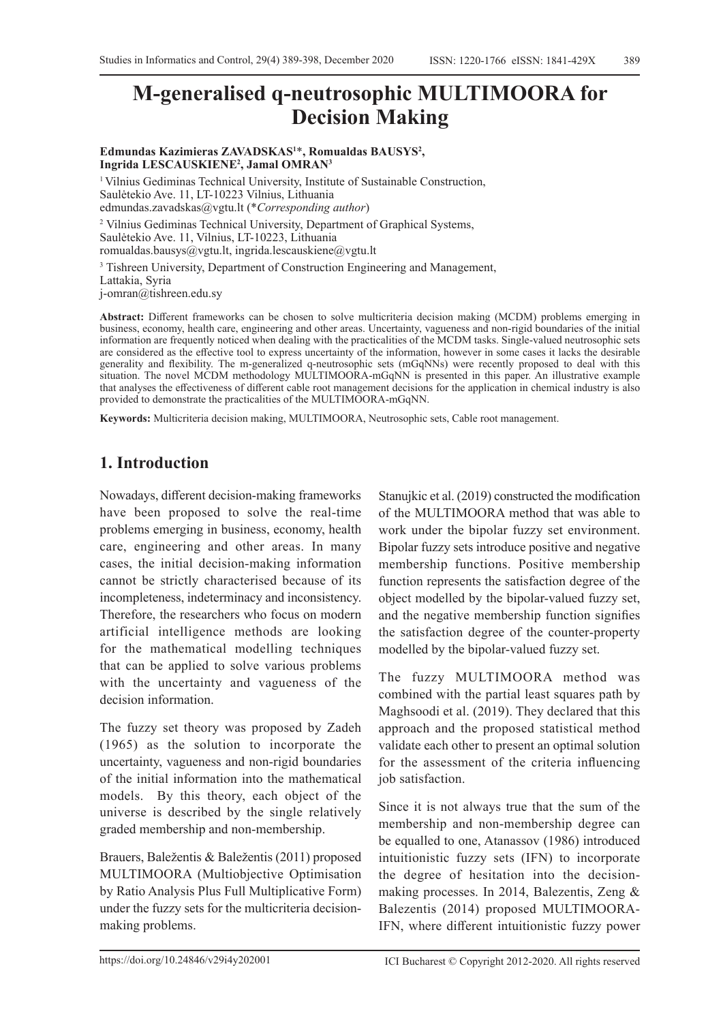# **M-generalised q-neutrosophic MULTIMOORA for Decision Making**

**Edmundas Kazimieras ZAVADSKAS1** \***, Romualdas BAUSYS2 , Ingrida LESCAUSKIENE2 , Jamal OMRAN3**

<sup>1</sup> Vilnius Gediminas Technical University, Institute of Sustainable Construction, Saulėtekio Ave. 11, LT-10223 Vilnius, Lithuania edmundas.zavadskas@vgtu.lt (\**Corresponding author*) 2 Vilnius Gediminas Technical University, Department of Graphical Systems, Saulėtekio Ave. 11, Vilnius, LT-10223, Lithuania romualdas.bausys@vgtu.lt, ingrida.lescauskiene@vgtu.lt

<sup>3</sup> Tishreen University, Department of Construction Engineering and Management, Lattakia, Syria

j-omran@tishreen.edu.sy

**Abstract:** Different frameworks can be chosen to solve multicriteria decision making (MCDM) problems emerging in business, economy, health care, engineering and other areas. Uncertainty, vagueness and non-rigid boundaries of the initial information are frequently noticed when dealing with the practicalities of the MCDM tasks. Single-valued neutrosophic sets are considered as the effective tool to express uncertainty of the information, however in some cases it lacks the desirable generality and flexibility. The m-generalized q-neutrosophic sets (mGqNNs) were recently proposed to deal with this situation. The novel MCDM methodology MULTIMOORA-mGqNN is presented in this paper. An illustrative example that analyses the effectiveness of different cable root management decisions for the application in chemical industry is also provided to demonstrate the practicalities of the MULTIMOORA-mGqNN.

**Keywords:** Multicriteria decision making, MULTIMOORA, Neutrosophic sets, Cable root management.

# **1. Introduction**

Nowadays, different decision-making frameworks have been proposed to solve the real-time problems emerging in business, economy, health care, engineering and other areas. In many cases, the initial decision-making information cannot be strictly characterised because of its incompleteness, indeterminacy and inconsistency. Therefore, the researchers who focus on modern artificial intelligence methods are looking for the mathematical modelling techniques that can be applied to solve various problems with the uncertainty and vagueness of the decision information.

The fuzzy set theory was proposed by Zadeh (1965) as the solution to incorporate the uncertainty, vagueness and non-rigid boundaries of the initial information into the mathematical models. By this theory, each object of the universe is described by the single relatively graded membership and non-membership.

Brauers, Baležentis & Baležentis (2011) proposed MULTIMOORA (Multiobjective Optimisation by Ratio Analysis Plus Full Multiplicative Form) under the fuzzy sets for the multicriteria decisionmaking problems.

Stanujkic et al. (2019) constructed the modification of the MULTIMOORA method that was able to work under the bipolar fuzzy set environment. Bipolar fuzzy sets introduce positive and negative membership functions. Positive membership function represents the satisfaction degree of the object modelled by the bipolar-valued fuzzy set, and the negative membership function signifies the satisfaction degree of the counter-property modelled by the bipolar-valued fuzzy set.

The fuzzy MULTIMOORA method was combined with the partial least squares path by Maghsoodi et al. (2019). They declared that this approach and the proposed statistical method validate each other to present an optimal solution for the assessment of the criteria influencing job satisfaction.

Since it is not always true that the sum of the membership and non-membership degree can be equalled to one, Atanassov (1986) introduced intuitionistic fuzzy sets (IFN) to incorporate the degree of hesitation into the decisionmaking processes. In 2014, Balezentis, Zeng & Balezentis (2014) proposed MULTIMOORA-IFN, where different intuitionistic fuzzy power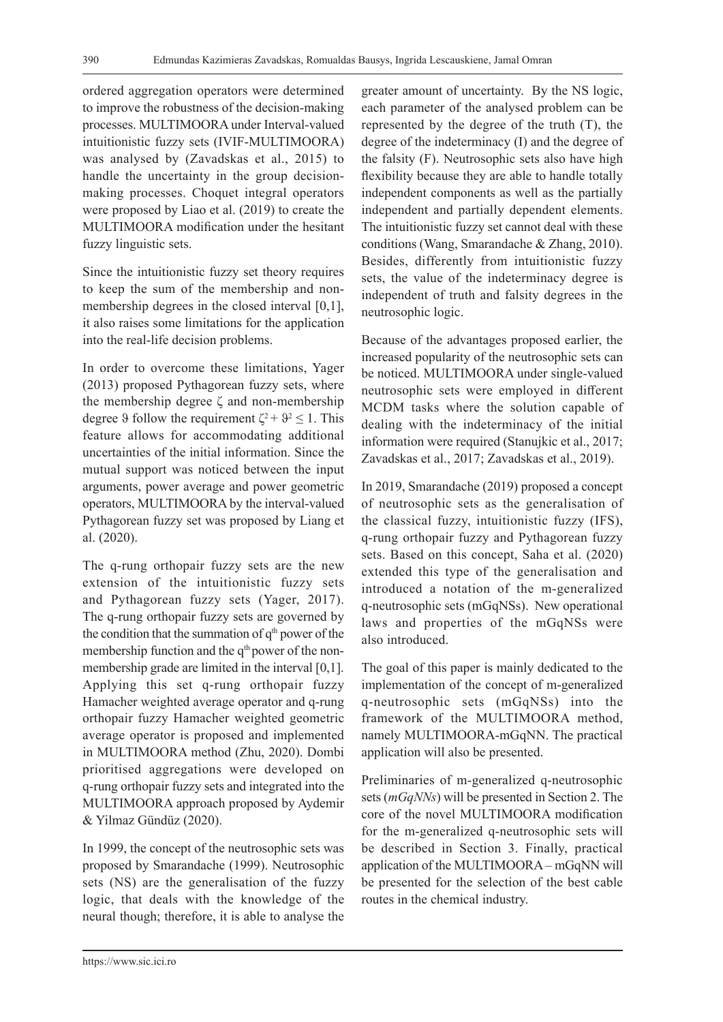ordered aggregation operators were determined to improve the robustness of the decision-making processes. MULTIMOORA under Interval-valued intuitionistic fuzzy sets (IVIF-MULTIMOORA) was analysed by (Zavadskas et al., 2015) to handle the uncertainty in the group decisionmaking processes. Choquet integral operators were proposed by Liao et al. (2019) to create the MULTIMOORA modification under the hesitant fuzzy linguistic sets.

Since the intuitionistic fuzzy set theory requires to keep the sum of the membership and nonmembership degrees in the closed interval [0,1], it also raises some limitations for the application into the real-life decision problems.

In order to overcome these limitations, Yager (2013) proposed Pythagorean fuzzy sets, where the membership degree ζ and non-membership degree 9 follow the requirement  $\zeta^2 + 9^2 \le 1$ . This feature allows for accommodating additional uncertainties of the initial information. Since the mutual support was noticed between the input arguments, power average and power geometric operators, MULTIMOORA by the interval-valued Pythagorean fuzzy set was proposed by Liang et al. (2020).

The q-rung orthopair fuzzy sets are the new extension of the intuitionistic fuzzy sets and Pythagorean fuzzy sets (Yager, 2017). The q-rung orthopair fuzzy sets are governed by the condition that the summation of  $q<sup>th</sup>$  power of the membership function and the  $q<sup>th</sup>$  power of the nonmembership grade are limited in the interval [0,1]. Applying this set q-rung orthopair fuzzy Hamacher weighted average operator and q-rung orthopair fuzzy Hamacher weighted geometric average operator is proposed and implemented in MULTIMOORA method (Zhu, 2020). Dombi prioritised aggregations were developed on q-rung orthopair fuzzy sets and integrated into the MULTIMOORA approach proposed by Aydemir & Yilmaz Gündüz (2020).

In 1999, the concept of the neutrosophic sets was proposed by Smarandache (1999). Neutrosophic sets (NS) are the generalisation of the fuzzy logic, that deals with the knowledge of the neural though; therefore, it is able to analyse the greater amount of uncertainty. By the NS logic, each parameter of the analysed problem can be represented by the degree of the truth (T), the degree of the indeterminacy (I) and the degree of the falsity (F). Neutrosophic sets also have high flexibility because they are able to handle totally independent components as well as the partially independent and partially dependent elements. The intuitionistic fuzzy set cannot deal with these conditions (Wang, Smarandache & Zhang, 2010). Besides, differently from intuitionistic fuzzy sets, the value of the indeterminacy degree is independent of truth and falsity degrees in the neutrosophic logic.

Because of the advantages proposed earlier, the increased popularity of the neutrosophic sets can be noticed. MULTIMOORA under single-valued neutrosophic sets were employed in different MCDM tasks where the solution capable of dealing with the indeterminacy of the initial information were required (Stanujkic et al., 2017; Zavadskas et al., 2017; Zavadskas et al., 2019).

In 2019, Smarandache (2019) proposed a concept of neutrosophic sets as the generalisation of the classical fuzzy, intuitionistic fuzzy (IFS), q-rung orthopair fuzzy and Pythagorean fuzzy sets. Based on this concept, Saha et al. (2020) extended this type of the generalisation and introduced a notation of the m-generalized q-neutrosophic sets (mGqNSs). New operational laws and properties of the mGqNSs were also introduced.

The goal of this paper is mainly dedicated to the implementation of the concept of m-generalized q-neutrosophic sets (mGqNSs) into the framework of the MULTIMOORA method, namely MULTIMOORA-mGqNN. The practical application will also be presented.

Preliminaries of m-generalized q-neutrosophic sets (*mGqNNs*) will be presented in Section 2. The core of the novel MULTIMOORA modification for the m-generalized q-neutrosophic sets will be described in Section 3. Finally, practical application of the MULTIMOORA – mGqNN will be presented for the selection of the best cable routes in the chemical industry.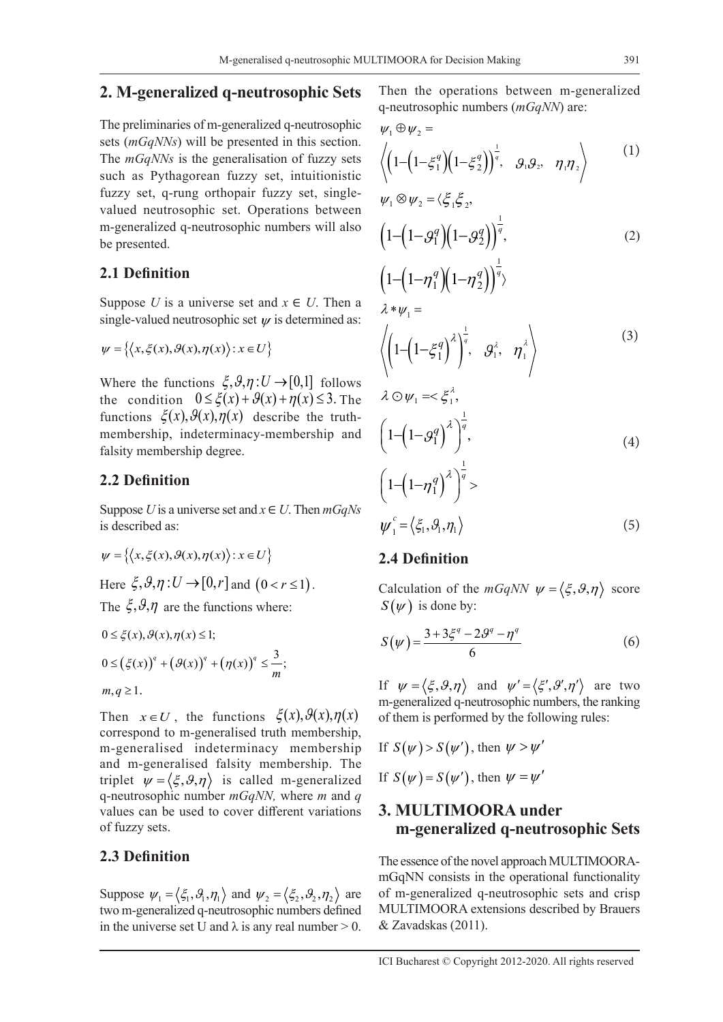### **2. M-generalized q-neutrosophic Sets**

The preliminaries of m-generalized q-neutrosophic sets (*mGqNNs*) will be presented in this section. The *mGqNNs* is the generalisation of fuzzy sets such as Pythagorean fuzzy set, intuitionistic fuzzy set, q-rung orthopair fuzzy set, singlevalued neutrosophic set. Operations between m-generalized q-neutrosophic numbers will also be presented.

#### **2.1 Definition**

Suppose *U* is a universe set and  $x \in U$ . Then a single-valued neutrosophic set  $\psi$  is determined as:

$$
\psi = \{ \langle x, \xi(x), \vartheta(x), \eta(x) \rangle : x \in U \}
$$

Where the functions  $\xi, \vartheta, \eta : U \to [0,1]$  follows the condition  $0 \le \xi(x) + \mathcal{G}(x) + \eta(x) \le 3$ . The functions  $\xi(x)$ ,  $\vartheta(x)$ ,  $\eta(x)$  describe the truthmembership, indeterminacy-membership and falsity membership degree.

#### **2.2 Definition**

Suppose *U* is a universe set and  $x \in U$ . Then  $mGqNs$ is described as:

$$
\psi = \{ \langle x, \xi(x), \vartheta(x), \eta(x) \rangle : x \in U \}
$$
  
Here  $\xi$ ,  $\vartheta$ ,  $\eta$  :  $U \rightarrow [0, r]$  and  $(0 < r \le 1)$ .

The  $\xi, \vartheta, \eta$  are the functions where:

$$
0 \le \xi(x), \mathcal{G}(x), \eta(x) \le 1;
$$
  

$$
0 \le (\xi(x))^q + (\mathcal{G}(x))^q + (\eta(x))^q \le \frac{3}{m};
$$

 $m, q \geq 1$ .

Then  $x \in U$ , the functions  $\xi(x)$ ,  $\vartheta(x)$ ,  $\eta(x)$ correspond to m-generalised truth membership, m-generalised indeterminacy membership and m-generalised falsity membership. The triplet  $\psi = \langle \xi, \vartheta, \eta \rangle$  is called m-generalized q-neutrosophic number *mGqNN,* where *m* and *q* values can be used to cover different variations of fuzzy sets.

#### **2.3 Definition**

Suppose  $\psi_1 = \langle \xi_1, \vartheta_1, \eta_1 \rangle$  and  $\psi_2 = \langle \xi_2, \vartheta_2, \eta_2 \rangle$  are two m-generalized q-neutrosophic numbers defined in the universe set U and  $\lambda$  is any real number  $> 0$ .

Then the operations between m-generalized q-neutrosophic numbers (*mGqNN*) are:

$$
\psi_1 \oplus \psi_2 = \left\langle \left( 1 - \left( 1 - \xi_1^q \right) \left( 1 - \xi_2^q \right) \right)^{\frac{1}{q}}, \quad \mathcal{G}_1 \mathcal{G}_2, \quad \eta_1 \eta_2 \right\rangle \tag{1}
$$

$$
\psi_1 \otimes \psi_2 = \langle \xi_1 \xi_2, \left(1 - \left(1 - \mathcal{G}_1^q\right)\left(1 - \mathcal{G}_2^q\right)\right)^{\frac{1}{q}},
$$
\n(2)

$$
\left(1-\left(1-\eta_1^q\right)\left(1-\eta_2^q\right)\right)^q
$$
\n
$$
\lambda * \psi_1 =
$$
\n
$$
\left\langle \left(1-\left(1-\xi_1^q\right)^{\lambda}\right)^{\frac{1}{q}}, \mathcal{G}_1^{\lambda}, \eta_1^{\lambda} \right\rangle
$$
\n
$$
\left(1-\left(1-\xi_1^q\right)^{\lambda}\right)^{\frac{1}{q}}, \mathcal{G}_1^{\lambda} \right\rangle
$$
\n
$$
\left(3\right)
$$

$$
\lambda \odot \psi_1 = \xi_1^{\lambda},
$$
\n
$$
\left(1 - \left(1 - g_1^q\right)^{\lambda}\right)^{\frac{1}{q}},
$$
\n
$$
\left(1 - \left(1 - \eta_1^q\right)^{\lambda}\right)^{\frac{1}{q}} > \psi_1^c = \left\langle \xi_1, \vartheta_1, \eta_1 \right\rangle
$$
\n(4)

### **2.4 Definition**

Calculation of the  $mGqNN \psi = \langle \xi, \vartheta, \eta \rangle$  score  $S(\psi)$  is done by:

$$
S(\psi) = \frac{3 + 3\xi^{q} - 2\mathcal{G}^{q} - \eta^{q}}{6}
$$
 (6)

If  $\psi = \langle \xi, \vartheta, \eta \rangle$  and  $\psi' = \langle \xi', \vartheta', \eta' \rangle$  are two m-generalized q-neutrosophic numbers, the ranking of them is performed by the following rules:

If 
$$
S(\psi) > S(\psi')
$$
, then  $\psi > \psi'$ 

If  $S(\psi) = S(\psi')$ , then  $\psi = \psi'$ 

## **3. MULTIMOORA under m-generalized q-neutrosophic Sets**

The essence of the novel approach MULTIMOORAmGqNN consists in the operational functionality of m-generalized q-neutrosophic sets and crisp MULTIMOORA extensions described by Brauers & Zavadskas (2011).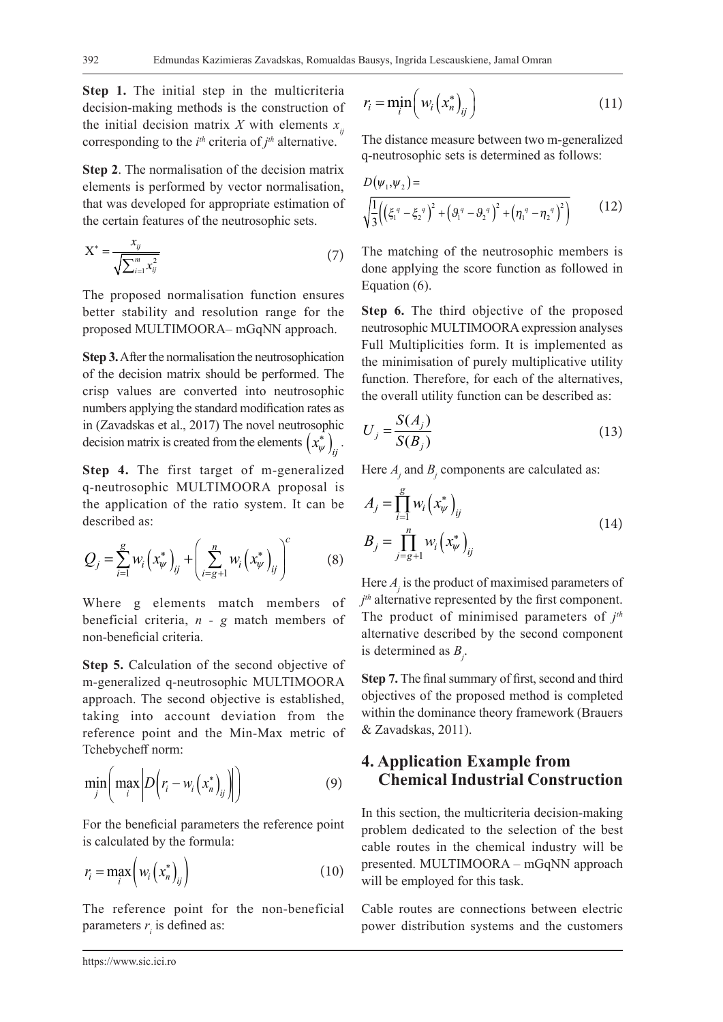**Step 1.** The initial step in the multicriteria decision-making methods is the construction of the initial decision matrix *X* with elements  $x_{ij}$ corresponding to the  $i<sup>th</sup>$  criteria of  $j<sup>th</sup>$  alternative.

**Step 2**. The normalisation of the decision matrix elements is performed by vector normalisation, that was developed for appropriate estimation of the certain features of the neutrosophic sets.

$$
X^* = \frac{x_{ij}}{\sqrt{\sum_{i=1}^m x_{ij}^2}}
$$
 (7)

The proposed normalisation function ensures better stability and resolution range for the proposed MULTIMOORA– mGqNN approach.

**Step 3.** After the normalisation the neutrosophication of the decision matrix should be performed. The crisp values are converted into neutrosophic numbers applying the standard modification rates as in (Zavadskas et al., 2017) The novel neutrosophic decision matrix is created from the elements  $\left(x_{\psi}^{*}\right)_{ij}$ .

**Step 4.** The first target of m-generalized q-neutrosophic MULTIMOORA proposal is the application of the ratio system. It can be described as:

$$
Q_{j} = \sum_{i=1}^{g} w_{i} (x_{\psi}^{*})_{ij} + \left(\sum_{i=g+1}^{n} w_{i} (x_{\psi}^{*})_{ij}\right)^{c}
$$
 (8)

Where g elements match members of beneficial criteria, *n - g* match members of non-beneficial criteria.

**Step 5.** Calculation of the second objective of m-generalized q-neutrosophic MULTIMOORA approach. The second objective is established, taking into account deviation from the reference point and the Min-Max metric of Tchebycheff norm:

$$
\min_{j} \left( \max_{i} \left| D\left(r_i - w_i\left(x_n^*\right)_{ij}\right) \right| \right) \tag{9}
$$

For the beneficial parameters the reference point is calculated by the formula:

$$
r_i = \max_i \left( w_i \left( x_n^* \right)_{ij} \right) \tag{10}
$$

The reference point for the non-beneficial parameters  $r_i$  is defined as:

$$
r_i = \min_i \left( w_i \left( x_n^* \right)_{ij} \right) \tag{11}
$$

The distance measure between two m-generalized q-neutrosophic sets is determined as follows:

$$
D(\psi_1, \psi_2) = \sqrt{\frac{1}{3} ((\xi_1^q - \xi_2^q)^2 + (\vartheta_1^q - \vartheta_2^q)^2 + (\eta_1^q - \eta_2^q)^2)}
$$
(12)

The matching of the neutrosophic members is done applying the score function as followed in Equation (6).

**Step 6.** The third objective of the proposed neutrosophic MULTIMOORA expression analyses Full Multiplicities form. It is implemented as the minimisation of purely multiplicative utility function. Therefore, for each of the alternatives, the overall utility function can be described as:

$$
U_j = \frac{S(A_j)}{S(B_j)}
$$
\n(13)

Here  $A_j$  and  $B_j$  components are calculated as:

$$
A_{j} = \prod_{i=1}^{g} w_{i} (x_{\psi}^{*})_{ij}
$$
  
\n
$$
B_{j} = \prod_{j=g+1}^{n} w_{i} (x_{\psi}^{*})_{ij}
$$
\n(14)

Here *Aj* is the product of maximised parameters of *j th* alternative represented by the first component. The product of minimised parameters of *j th* alternative described by the second component is determined as *Bj* .

**Step 7.** The final summary of first, second and third objectives of the proposed method is completed within the dominance theory framework (Brauers & Zavadskas, 2011).

## **4. Application Example from Chemical Industrial Construction**

In this section, the multicriteria decision-making problem dedicated to the selection of the best cable routes in the chemical industry will be presented. MULTIMOORA – mGqNN approach will be employed for this task.

Cable routes are connections between electric power distribution systems and the customers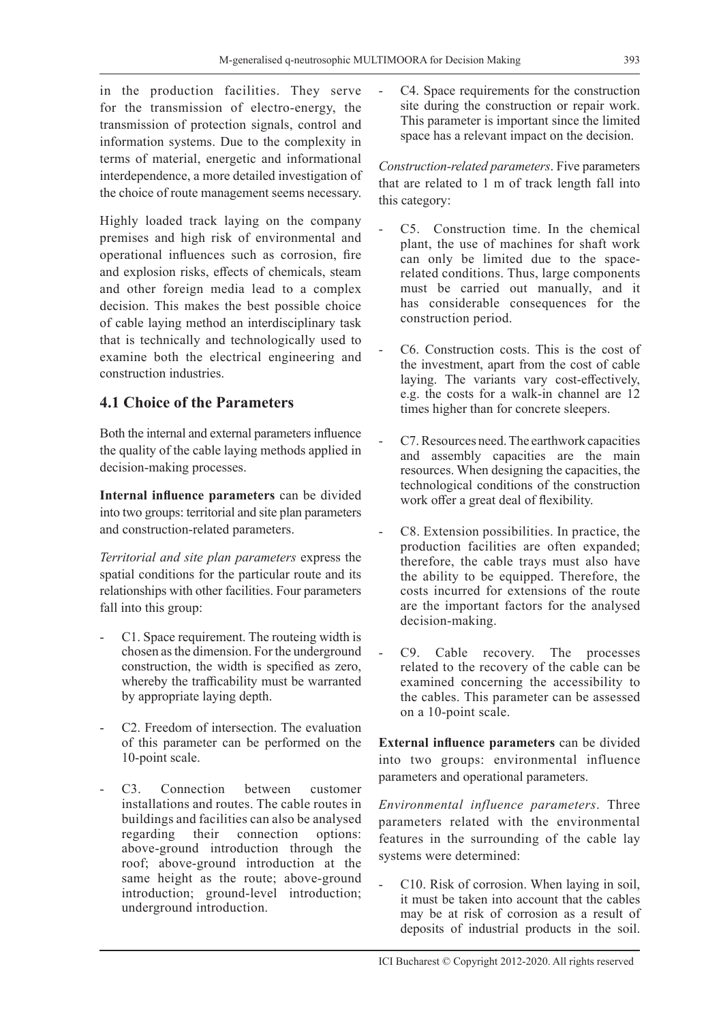in the production facilities. They serve for the transmission of electro-energy, the transmission of protection signals, control and information systems. Due to the complexity in terms of material, energetic and informational interdependence, a more detailed investigation of the choice of route management seems necessary.

Highly loaded track laying on the company premises and high risk of environmental and operational influences such as corrosion, fire and explosion risks, effects of chemicals, steam and other foreign media lead to a complex decision. This makes the best possible choice of cable laying method an interdisciplinary task that is technically and technologically used to examine both the electrical engineering and construction industries.

## **4.1 Choice of the Parameters**

Both the internal and external parameters influence the quality of the cable laying methods applied in decision-making processes.

**Internal influence parameters** can be divided into two groups: territorial and site plan parameters and construction-related parameters.

*Territorial and site plan parameters* express the spatial conditions for the particular route and its relationships with other facilities. Four parameters fall into this group:

- C1. Space requirement. The routeing width is chosen as the dimension. For the underground construction, the width is specified as zero, whereby the trafficability must be warranted by appropriate laying depth.
- C2. Freedom of intersection. The evaluation of this parameter can be performed on the 10-point scale.
- C<sub>3</sub>. Connection between customer installations and routes. The cable routes in buildings and facilities can also be analysed regarding their connection options: above-ground introduction through the roof; above-ground introduction at the same height as the route; above-ground introduction; ground-level introduction; underground introduction.

- C4. Space requirements for the construction site during the construction or repair work. This parameter is important since the limited space has a relevant impact on the decision.

*Construction-related parameters*. Five parameters that are related to 1 m of track length fall into this category:

- C5. Construction time. In the chemical plant, the use of machines for shaft work can only be limited due to the spacerelated conditions. Thus, large components must be carried out manually, and it has considerable consequences for the construction period.
- C6. Construction costs. This is the cost of the investment, apart from the cost of cable laying. The variants vary cost-effectively, e.g. the costs for a walk-in channel are 12 times higher than for concrete sleepers.
- C7.Resources need. The earthwork capacities and assembly capacities are the main resources. When designing the capacities, the technological conditions of the construction work offer a great deal of flexibility.
- C8. Extension possibilities. In practice, the production facilities are often expanded; therefore, the cable trays must also have the ability to be equipped. Therefore, the costs incurred for extensions of the route are the important factors for the analysed decision-making.
- C9. Cable recovery. The processes related to the recovery of the cable can be examined concerning the accessibility to the cables. This parameter can be assessed on a 10-point scale.

**External influence parameters** can be divided into two groups: environmental influence parameters and operational parameters.

*Environmental influence parameters*. Three parameters related with the environmental features in the surrounding of the cable lay systems were determined:

- C10. Risk of corrosion. When laying in soil, it must be taken into account that the cables may be at risk of corrosion as a result of deposits of industrial products in the soil.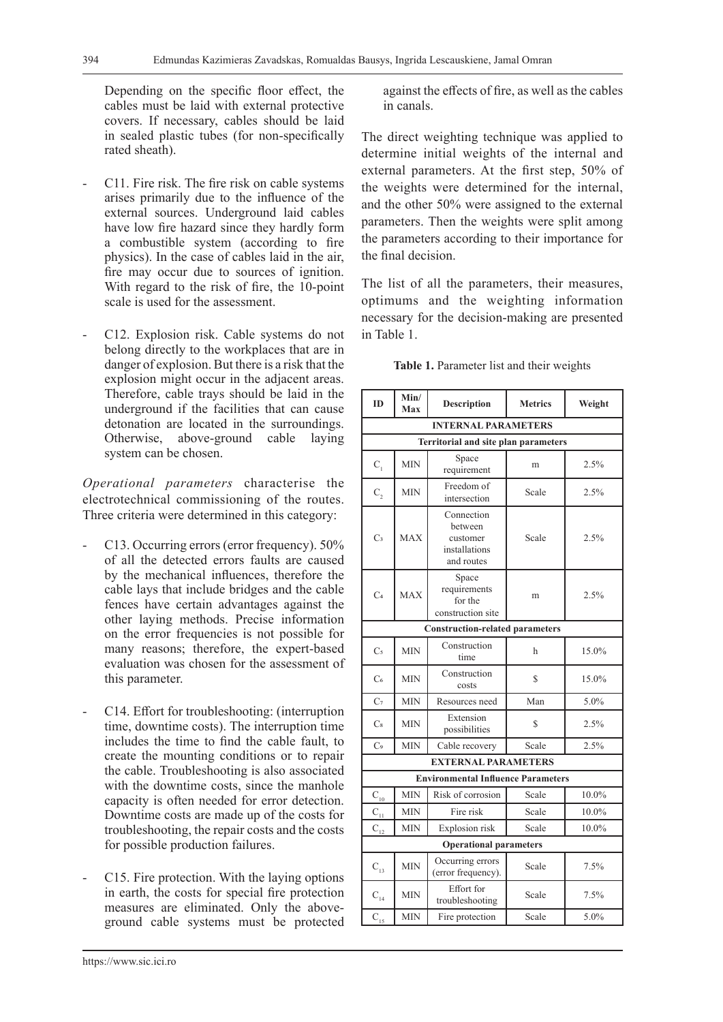Depending on the specific floor effect, the cables must be laid with external protective covers. If necessary, cables should be laid in sealed plastic tubes (for non-specifically rated sheath).

- C11. Fire risk. The fire risk on cable systems arises primarily due to the influence of the external sources. Underground laid cables have low fire hazard since they hardly form a combustible system (according to fire physics). In the case of cables laid in the air, fire may occur due to sources of ignition. With regard to the risk of fire, the 10-point scale is used for the assessment.
- C12. Explosion risk. Cable systems do not belong directly to the workplaces that are in danger of explosion. But there is a risk that the explosion might occur in the adjacent areas. Therefore, cable trays should be laid in the underground if the facilities that can cause detonation are located in the surroundings. Otherwise, above-ground cable laying system can be chosen.

*Operational parameters* characterise the electrotechnical commissioning of the routes. Three criteria were determined in this category:

- C13. Occurring errors (error frequency).  $50\%$ of all the detected errors faults are caused by the mechanical influences, therefore the cable lays that include bridges and the cable fences have certain advantages against the other laying methods. Precise information on the error frequencies is not possible for many reasons; therefore, the expert-based evaluation was chosen for the assessment of this parameter.
- C14. Effort for troubleshooting: (interruption time, downtime costs). The interruption time includes the time to find the cable fault, to create the mounting conditions or to repair the cable. Troubleshooting is also associated with the downtime costs, since the manhole capacity is often needed for error detection. Downtime costs are made up of the costs for troubleshooting, the repair costs and the costs for possible production failures.
- C15. Fire protection. With the laying options in earth, the costs for special fire protection measures are eliminated. Only the aboveground cable systems must be protected

against the effects of fire, as well as the cables in canals.

The direct weighting technique was applied to determine initial weights of the internal and external parameters. At the first step, 50% of the weights were determined for the internal, and the other 50% were assigned to the external parameters. Then the weights were split among the parameters according to their importance for the final decision.

The list of all the parameters, their measures, optimums and the weighting information necessary for the decision-making are presented in Table 1.

| <b>ID</b>                              | Min/<br>Max                          | <b>Description</b>                                               | <b>Metrics</b> | Weight |  |  |  |  |  |  |  |
|----------------------------------------|--------------------------------------|------------------------------------------------------------------|----------------|--------|--|--|--|--|--|--|--|
|                                        |                                      | <b>INTERNAL PARAMETERS</b>                                       |                |        |  |  |  |  |  |  |  |
|                                        | Territorial and site plan parameters |                                                                  |                |        |  |  |  |  |  |  |  |
| $C_{1}$                                | <b>MIN</b>                           | Space<br>requirement                                             | m              | 2.5%   |  |  |  |  |  |  |  |
| $C_{2}$                                | <b>MIN</b>                           | Freedom of<br>intersection                                       | Scale          | 2.5%   |  |  |  |  |  |  |  |
| C <sub>3</sub>                         | <b>MAX</b>                           | Connection<br>between<br>customer<br>installations<br>and routes | Scale          | 2.5%   |  |  |  |  |  |  |  |
| C <sub>4</sub>                         | <b>MAX</b>                           | Space<br>requirements<br>for the<br>construction site            | m              | 2.5%   |  |  |  |  |  |  |  |
| <b>Construction-related parameters</b> |                                      |                                                                  |                |        |  |  |  |  |  |  |  |
| C <sub>5</sub>                         | <b>MIN</b>                           | Construction<br>time                                             | h              | 15.0%  |  |  |  |  |  |  |  |
| C <sub>6</sub>                         | <b>MIN</b>                           | Construction<br>costs                                            | \$             | 15.0%  |  |  |  |  |  |  |  |
| C <sub>7</sub>                         | <b>MIN</b>                           | Resources need                                                   | Man            | 5.0%   |  |  |  |  |  |  |  |
| $\mathrm{C}_8$                         | <b>MIN</b>                           | Extension<br>possibilities                                       | \$             | 2.5%   |  |  |  |  |  |  |  |
| C <sub>9</sub>                         | <b>MIN</b>                           | Cable recovery                                                   | Scale          | 2.5%   |  |  |  |  |  |  |  |
|                                        |                                      | <b>EXTERNAL PARAMETERS</b>                                       |                |        |  |  |  |  |  |  |  |
|                                        |                                      | <b>Environmental Influence Parameters</b>                        |                |        |  |  |  |  |  |  |  |
| $C_{10}$                               | <b>MIN</b>                           | Risk of corrosion                                                | Scale          | 10.0%  |  |  |  |  |  |  |  |
| $C_{11}$                               | <b>MIN</b>                           | Fire risk                                                        | Scale          | 10.0%  |  |  |  |  |  |  |  |
| $C_{12}$                               | <b>MIN</b>                           | Explosion risk                                                   | Scale          | 10.0%  |  |  |  |  |  |  |  |
|                                        |                                      | <b>Operational parameters</b>                                    |                |        |  |  |  |  |  |  |  |
| $C_{13}$                               | <b>MIN</b>                           | Occurring errors<br>(error frequency).                           | Scale          | 7.5%   |  |  |  |  |  |  |  |
| $C_{14}$                               | <b>MIN</b>                           | Effort for<br>troubleshooting                                    | Scale          | 7.5%   |  |  |  |  |  |  |  |
| $C_{\frac{15}{2}}$                     | <b>MIN</b>                           | Fire protection                                                  | Scale          | 5.0%   |  |  |  |  |  |  |  |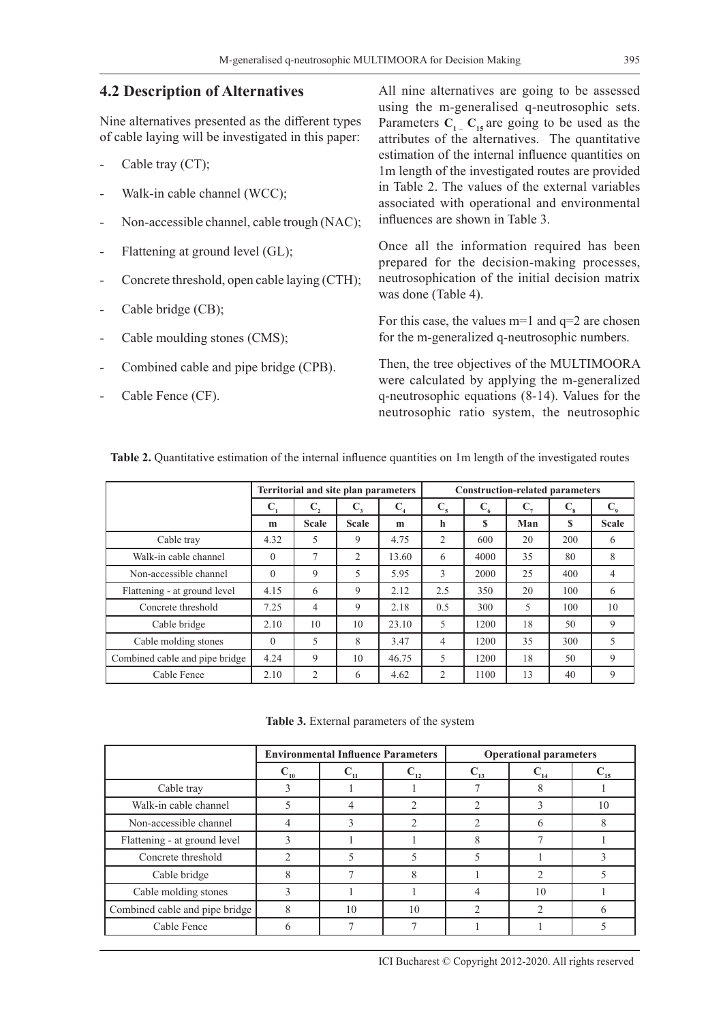#### **4.2 Description of Alternatives**

Nine alternatives presented as the different types of cable laying will be investigated in this paper:

- Cable tray (CT);
- Walk-in cable channel (WCC);
- Non-accessible channel, cable trough (NAC);
- Flattening at ground level (GL);
- Concrete threshold, open cable laying (CTH);
- Cable bridge (CB);
- Cable moulding stones (CMS);
- Combined cable and pipe bridge (CPB).
- Cable Fence (CF).

All nine alternatives are going to be assessed using the m-generalised q-neutrosophic sets. Parameters  $C_1$ <sub>-</sub>  $C_{15}$  are going to be used as the attributes of the alternatives. The quantitative estimation of the internal influence quantities on 1m length of the investigated routes are provided in Table 2. The values of the external variables associated with operational and environmental influences are shown in Table 3.

Once all the information required has been prepared for the decision-making processes, neutrosophication of the initial decision matrix was done (Table 4).

For this case, the values  $m=1$  and  $q=2$  are chosen for the m-generalized q-neutrosophic numbers.

Then, the tree objectives of the MULTIMOORA were calculated by applying the m-generalized q-neutrosophic equations (8-14). Values for the neutrosophic ratio system, the neutrosophic

|                                | Territorial and site plan parameters |                |              |                | <b>Construction-related parameters</b> |         |     |          |                  |  |
|--------------------------------|--------------------------------------|----------------|--------------|----------------|----------------------------------------|---------|-----|----------|------------------|--|
|                                | $\mathbf{C}_{1}$                     | C,             | $C_{3}$      | C <sub>4</sub> | $C_{5}$                                | $C_{6}$ | C,  | $C_{8}$  | $\mathbf{C}_{9}$ |  |
|                                | m                                    | <b>Scale</b>   | <b>Scale</b> | m              | h                                      | S       | Man | <b>S</b> | <b>Scale</b>     |  |
| Cable tray                     | 4.32                                 | 5              | 9            | 4.75           | 2                                      | 600     | 20  | 200      | 6                |  |
| Walk-in cable channel          | $\theta$                             | 7              | 2            | 13.60          | 6                                      | 4000    | 35  | 80       | 8                |  |
| Non-accessible channel         | $\Omega$                             | 9              | 5            | 5.95           | 3                                      | 2000    | 25  | 400      | $\overline{4}$   |  |
| Flattening - at ground level   | 4.15                                 | 6              | 9            | 2.12           | 2.5                                    | 350     | 20  | 100      | 6                |  |
| Concrete threshold             | 7.25                                 | $\overline{4}$ | 9            | 2.18           | 0.5                                    | 300     | 5   | 100      | 10               |  |
| Cable bridge                   | 2.10                                 | 10             | 10           | 23.10          | 5                                      | 1200    | 18  | 50       | 9                |  |
| Cable molding stones           | $\Omega$                             | 5              | 8            | 3.47           | $\overline{4}$                         | 1200    | 35  | 300      | 5                |  |
| Combined cable and pipe bridge | 4.24                                 | 9              | 10           | 46.75          | 5                                      | 1200    | 18  | 50       | 9                |  |
| Cable Fence                    | 2.10                                 | $\overline{c}$ | 6            | 4.62           | $\overline{c}$                         | 1100    | 13  | 40       | 9                |  |

**Table 2.** Quantitative estimation of the internal influence quantities on 1m length of the investigated routes

**Table 3.** External parameters of the system

|                                |    | <b>Environmental Influence Parameters</b> |    | <b>Operational parameters</b> |    |    |  |
|--------------------------------|----|-------------------------------------------|----|-------------------------------|----|----|--|
|                                | 10 |                                           |    |                               |    |    |  |
| Cable tray                     |    |                                           |    |                               |    |    |  |
| Walk-in cable channel          |    |                                           |    |                               |    | 10 |  |
| Non-accessible channel         |    |                                           |    | ↑                             | n  | 8  |  |
| Flattening - at ground level   | 3  |                                           |    | 8                             |    |    |  |
| Concrete threshold             |    |                                           |    |                               |    |    |  |
| Cable bridge                   |    |                                           |    |                               |    |    |  |
| Cable molding stones           |    |                                           |    |                               | 10 |    |  |
| Combined cable and pipe bridge | 8  | 10                                        | 10 | ↑                             |    |    |  |
| Cable Fence                    |    |                                           |    |                               |    |    |  |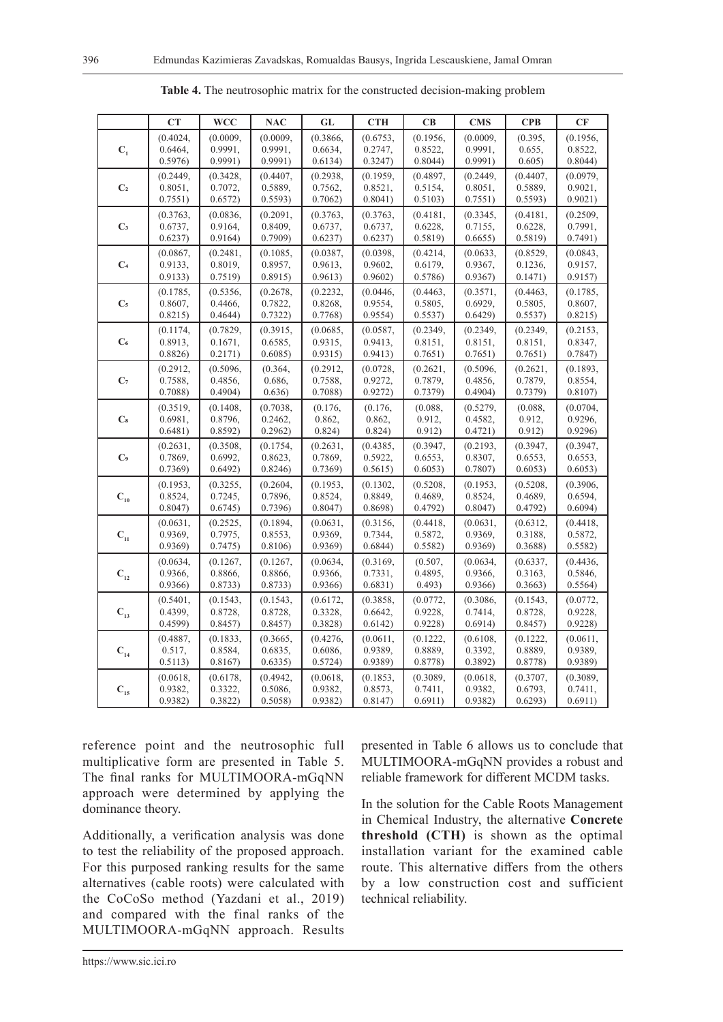|                                       | CT       | <b>WCC</b> | <b>NAC</b> | GL       | <b>CTH</b> | CB       | <b>CMS</b> | <b>CPB</b> | CF       |
|---------------------------------------|----------|------------|------------|----------|------------|----------|------------|------------|----------|
|                                       | (0.4024, | (0.0009,   | (0.0009,   | (0.3866, | (0.6753,   | (0.1956, | (0.0009,   | (0.395,    | (0.1956, |
| $C_{1}$                               | 0.6464,  | 0.9991,    | 0.9991,    | 0.6634,  | 0.2747,    | 0.8522,  | 0.9991,    | 0.655,     | 0.8522,  |
|                                       | 0.5976)  | 0.9991)    | 0.9991)    | 0.6134)  | 0.3247     | 0.8044)  | 0.9991)    | 0.605)     | 0.8044)  |
|                                       | (0.2449, | (0.3428,   | (0.4407,   | (0.2938, | (0.1959,   | (0.4897, | (0.2449,   | (0.4407,   | (0.0979, |
| C <sub>2</sub>                        | 0.8051,  | 0.7072,    | 0.5889,    | 0.7562,  | 0.8521,    | 0.5154,  | 0.8051,    | 0.5889,    | 0.9021,  |
|                                       | 0.7551)  | 0.6572)    | 0.5593)    | 0.7062)  | 0.8041)    | 0.5103)  | 0.7551)    | 0.5593)    | 0.9021)  |
|                                       | (0.3763, | (0.0836,   | (0.2091,   | (0.3763, | (0.3763,   | (0.4181, | (0.3345,   | (0.4181,   | (0.2509, |
| C <sub>3</sub>                        | 0.6737,  | 0.9164,    | 0.8409,    | 0.6737,  | 0.6737,    | 0.6228,  | 0.7155,    | 0.6228,    | 0.7991,  |
|                                       | 0.6237)  | 0.9164)    | 0.7909     | 0.6237)  | 0.6237)    | 0.5819   | 0.6655     | 0.5819     | 0.7491)  |
|                                       | (0.0867, | (0.2481,   | (0.1085,   | (0.0387, | (0.0398,   | (0.4214, | (0.0633,   | (0.8529,   | (0.0843, |
| C <sub>4</sub>                        | 0.9133,  | 0.8019,    | 0.8957,    | 0.9613,  | 0.9602,    | 0.6179,  | 0.9367,    | 0.1236,    | 0.9157,  |
|                                       | 0.9133)  | 0.7519     | 0.8915     | 0.9613)  | 0.9602     | 0.5786   | 0.9367     | 0.1471)    | 0.9157   |
|                                       | (0.1785, | (0.5356,   | (0.2678,   | (0.2232, | (0.0446,   | (0.4463, | (0.3571,   | (0.4463,   | (0.1785, |
| C <sub>5</sub>                        | 0.8607,  | 0.4466.    | 0.7822,    | 0.8268,  | 0.9554,    | 0.5805,  | 0.6929,    | 0.5805,    | 0.8607,  |
|                                       | 0.8215)  | 0.4644)    | 0.7322     | 0.7768   | 0.9554)    | 0.5537)  | 0.6429     | 0.5537)    | 0.8215)  |
|                                       | (0.1174, | (0.7829,   | (0.3915,   | (0.0685, | (0.0587,   | (0.2349, | (0.2349,   | (0.2349,   | (0.2153, |
| C <sub>6</sub>                        | 0.8913,  | 0.1671,    | 0.6585,    | 0.9315,  | 0.9413,    | 0.8151,  | 0.8151,    | 0.8151,    | 0.8347,  |
|                                       | 0.8826)  | 0.2171)    | 0.6085)    | 0.9315   | 0.9413)    | 0.7651)  | 0.7651)    | 0.7651)    | 0.7847)  |
|                                       | (0.2912, | (0.5096,   | (0.364,    | (0.2912, | (0.0728,   | (0.2621, | (0.5096,   | (0.2621,   | (0.1893, |
| C <sub>7</sub>                        | 0.7588,  | 0.4856,    | 0.686,     | 0.7588,  | 0.9272,    | 0.7879,  | 0.4856,    | 0.7879,    | 0.8554,  |
|                                       | 0.7088   | 0.4904)    | 0.636)     | 0.7088   | 0.9272)    | 0.7379   | 0.4904)    | 0.7379     | 0.8107   |
|                                       | (0.3519, | (0.1408,   | (0.7038,   | (0.176,  | (0.176,    | (0.088,  | (0.5279,   | (0.088,    | (0.0704, |
| $\mathbf{C}\mathbf{s}$                | 0.6981,  | 0.8796,    | 0.2462,    | 0.862,   | 0.862,     | 0.912,   | 0.4582,    | 0.912,     | 0.9296,  |
|                                       | 0.6481)  | 0.8592)    | 0.2962)    | 0.824)   | 0.824)     | 0.912)   | 0.4721)    | 0.912)     | 0.9296   |
|                                       | (0.2631, | (0.3508,   | (0.1754,   | (0.2631, | (0.4385,   | (0.3947, | (0.2193,   | (0.3947,   | (0.3947, |
| $\mathbf{C}\cdot$                     | 0.7869,  | 0.6992,    | 0.8623,    | 0.7869,  | 0.5922,    | 0.6553,  | 0.8307,    | 0.6553,    | 0.6553,  |
|                                       | 0.7369   | 0.6492)    | 0.8246     | 0.7369   | 0.5615)    | 0.6053)  | 0.7807     | 0.6053)    | 0.6053)  |
|                                       | (0.1953, | (0.3255,   | (0.2604,   | (0.1953, | (0.1302,   | (0.5208, | (0.1953,   | (0.5208,   | (0.3906, |
| $\mathbf{C}_{_{10}}$                  | 0.8524,  | 0.7245,    | 0.7896,    | 0.8524,  | 0.8849,    | 0.4689,  | 0.8524,    | 0.4689,    | 0.6594,  |
|                                       | 0.8047)  | 0.6745)    | 0.7396     | 0.8047   | 0.8698     | 0.4792)  | 0.8047)    | 0.4792)    | 0.6094)  |
|                                       | (0.0631, | (0.2525,   | (0.1894,   | (0.0631, | (0.3156,   | (0.4418, | (0.0631,   | (0.6312,   | (0.4418, |
| $\mathbf{C}_{\text{11}}$              | 0.9369,  | 0.7975,    | 0.8553,    | 0.9369,  | 0.7344,    | 0.5872,  | 0.9369,    | 0.3188,    | 0.5872,  |
|                                       | 0.9369   | 0.7475)    | 0.8106     | 0.9369   | 0.6844)    | 0.5582)  | 0.9369     | 0.3688     | 0.5582)  |
|                                       | (0.0634, | (0.1267,   | (0.1267,   | (0.0634, | (0.3169,   | (0.507,  | (0.0634,   | (0.6337,   | (0.4436, |
| $\mathbf{C}_{_{12}}$                  | 0.9366,  | 0.8866,    | 0.8866,    | 0.9366,  | 0.7331,    | 0.4895,  | 0.9366,    | 0.3163,    | 0.5846,  |
|                                       | 0.9366   | 0.8733)    | 0.8733)    | 0.9366   | 0.6831)    | 0.493)   | 0.9366     | 0.3663)    | 0.5564)  |
|                                       | (0.5401, | (0.1543,   | (0.1543,   | (0.6172, | (0.3858,   | (0.0772, | (0.3086,   | (0.1543,   | (0.0772, |
| $\mathbf{C}_{_{13}}$                  | 0.4399,  | 0.8728,    | 0.8728,    | 0.3328,  | 0.6642,    | 0.9228,  | 0.7414,    | 0.8728,    | 0.9228,  |
|                                       | 0.4599)  | 0.8457     | 0.8457     | 0.3828   | 0.6142)    | 0.9228   | 0.6914)    | 0.8457     | 0.9228   |
|                                       | (0.4887, | (0.1833,   | (0.3665,   | (0.4276, | (0.0611,   | (0.1222, | (0.6108,   | (0.1222,   | (0.0611, |
| $\mathbf{C}_{_{14}}$                  | 0.517,   | 0.8584,    | 0.6835,    | 0.6086,  | 0.9389,    | 0.8889,  | 0.3392,    | 0.8889,    | 0.9389,  |
|                                       | 0.5113)  | 0.8167)    | 0.6335)    | 0.5724)  | 0.9389     | 0.8778   | 0.3892)    | 0.8778     | 0.9389   |
|                                       | (0.0618, | (0.6178,   | (0.4942,   | (0.0618, | (0.1853,   | (0.3089, | (0.0618,   | (0.3707,   | (0.3089, |
| $\mathbf{C}_{\scriptscriptstyle{15}}$ | 0.9382,  | 0.3322,    | 0.5086,    | 0.9382,  | 0.8573,    | 0.7411,  | 0.9382,    | 0.6793,    | 0.7411,  |
|                                       | 0.9382)  | 0.3822     | 0.5058)    | 0.9382)  | 0.8147)    | 0.6911)  | 0.9382)    | 0.6293)    | 0.6911)  |

**Table 4.** The neutrosophic matrix for the constructed decision-making problem

reference point and the neutrosophic full multiplicative form are presented in Table 5. The final ranks for MULTIMOORA-mGqNN approach were determined by applying the dominance theory.

Additionally, a verification analysis was done to test the reliability of the proposed approach. For this purposed ranking results for the same alternatives (cable roots) were calculated with the CoCoSo method (Yazdani et al., 2019) and compared with the final ranks of the MULTIMOORA-mGqNN approach. Results

presented in Table 6 allows us to conclude that MULTIMOORA-mGqNN provides a robust and reliable framework for different MCDM tasks.

In the solution for the Cable Roots Management in Chemical Industry, the alternative **Concrete threshold (CTH)** is shown as the optimal installation variant for the examined cable route. This alternative differs from the others by a low construction cost and sufficient technical reliability.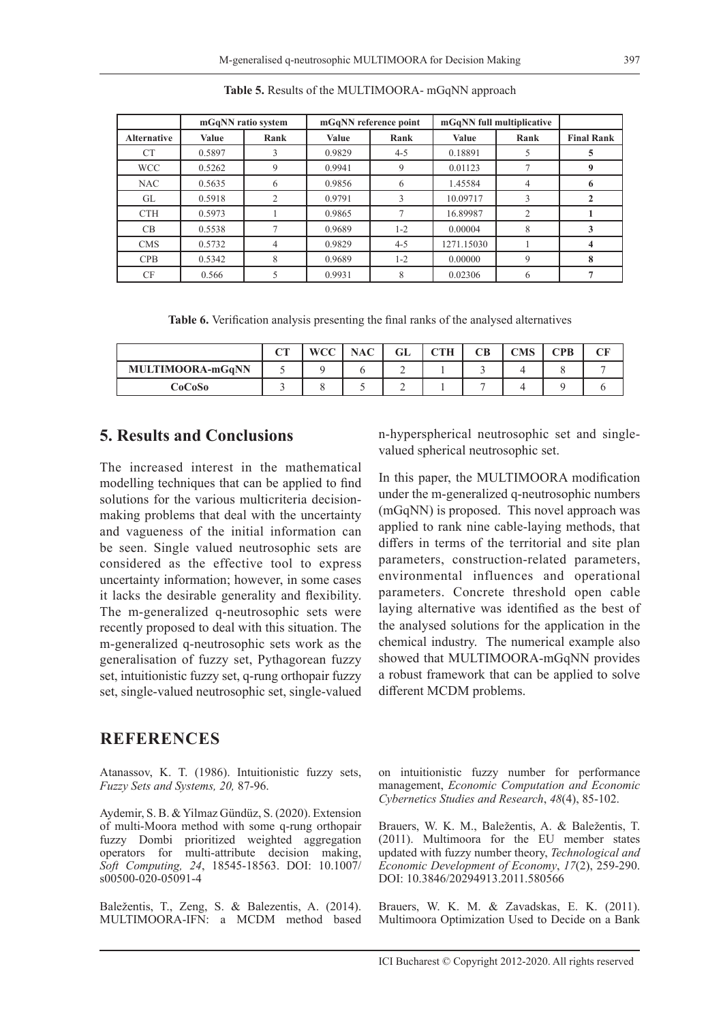|                    |        | mGqNN ratio system | mGqNN reference point |         | mGqNN full multiplicative |                |                   |
|--------------------|--------|--------------------|-----------------------|---------|---------------------------|----------------|-------------------|
| <b>Alternative</b> | Value  | Rank               | Value                 | Rank    | <b>Value</b>              | Rank           | <b>Final Rank</b> |
| CT                 | 0.5897 |                    | 0.9829                | $4 - 5$ | 0.18891                   |                | 5                 |
| <b>WCC</b>         | 0.5262 | 9                  | 0.9941                | 9       | 0.01123                   |                | 9                 |
| <b>NAC</b>         | 0.5635 | 6                  | 0.9856                | 6       | 1.45584                   | $\overline{4}$ | 6                 |
| GL                 | 0.5918 | 2                  | 0.9791                | 3       | 10.09717                  | 3              |                   |
| <b>CTH</b>         | 0.5973 |                    | 0.9865                |         | 16.89987                  | $\overline{2}$ |                   |
| CB                 | 0.5538 |                    | 0.9689                | $1 - 2$ | 0.00004                   | 8              | 3                 |
| <b>CMS</b>         | 0.5732 | 4                  | 0.9829                | $4 - 5$ | 1271.15030                |                | 4                 |
| CPB                | 0.5342 | 8                  | 0.9689                | $1 - 2$ | 0.00000                   | 9              | 8                 |
| CF                 | 0.566  |                    | 0.9931                | 8       | 0.02306                   | 6              |                   |

**Table 5.** Results of the MULTIMOORA- mGqNN approach

**Table 6.** Verification analysis presenting the final ranks of the analysed alternatives

|                  | $\sqrt{2}$ | <b>WCC</b> | <b>NAC</b> | GL | <b>CTH</b> | CВ | <b>CMS</b> | CPB | CF |
|------------------|------------|------------|------------|----|------------|----|------------|-----|----|
| MULTIMOORA-mGqNN |            |            |            |    |            |    |            |     |    |
| CoCoSo           |            |            |            |    |            |    |            |     |    |

## **5. Results and Conclusions**

The increased interest in the mathematical modelling techniques that can be applied to find solutions for the various multicriteria decisionmaking problems that deal with the uncertainty and vagueness of the initial information can be seen. Single valued neutrosophic sets are considered as the effective tool to express uncertainty information; however, in some cases it lacks the desirable generality and flexibility. The m-generalized q-neutrosophic sets were recently proposed to deal with this situation. The m-generalized q-neutrosophic sets work as the generalisation of fuzzy set, Pythagorean fuzzy set, intuitionistic fuzzy set, q-rung orthopair fuzzy set, single-valued neutrosophic set, single-valued

### **REFERENCES**

Atanassov, K. T. (1986). Intuitionistic fuzzy sets, *Fuzzy Sets and Systems, 20,* 87-96.

Aydemir, S. B. & Yilmaz Gündüz, S. (2020). Extension of multi-Moora method with some q-rung orthopair fuzzy Dombi prioritized weighted aggregation operators for multi-attribute decision making, *Soft Computing, 24*, 18545-18563. DOI: 10.1007/ s00500-020-05091-4

Baležentis, T., Zeng, S. & Balezentis, A. (2014). MULTIMOORA-IFN: a MCDM method based n-hyperspherical neutrosophic set and singlevalued spherical neutrosophic set.

In this paper, the MULTIMOORA modification under the m-generalized q-neutrosophic numbers (mGqNN) is proposed. This novel approach was applied to rank nine cable-laying methods, that differs in terms of the territorial and site plan parameters, construction-related parameters, environmental influences and operational parameters. Concrete threshold open cable laying alternative was identified as the best of the analysed solutions for the application in the chemical industry. The numerical example also showed that MULTIMOORA-mGqNN provides a robust framework that can be applied to solve different MCDM problems.

on intuitionistic fuzzy number for performance management, *Economic Computation and Economic Cybernetics Studies and Research*, *48*(4), 85-102.

Brauers, W. K. M., Baležentis, A. & Baležentis, T. (2011). Multimoora for the EU member states updated with fuzzy number theory, *Technological and Economic Development of Economy*, *17*(2), 259-290. DOI: 10.3846/20294913.2011.580566

Brauers, W. K. M. & Zavadskas, E. K. (2011). Multimoora Optimization Used to Decide on a Bank